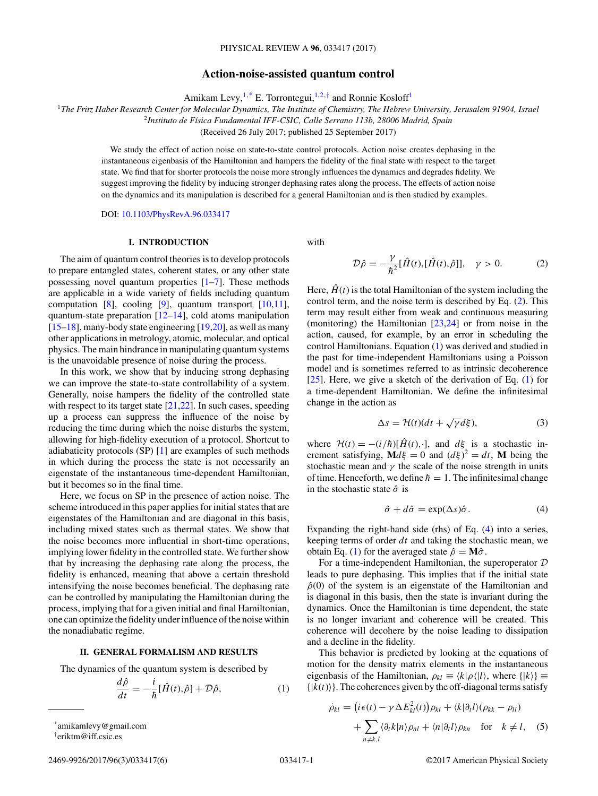# **Action-noise-assisted quantum control**

Amikam Levy,  $1, *$  E. Torrontegui,  $1, 2, †$  and Ronnie Kosloff<sup>1</sup>

<span id="page-0-0"></span><sup>1</sup>*The Fritz Haber Research Center for Molecular Dynamics, The Institute of Chemistry, The Hebrew University, Jerusalem 91904, Israel*

<sup>2</sup>*Instituto de Física Fundamental IFF-CSIC, Calle Serrano 113b, 28006 Madrid, Spain*

(Received 26 July 2017; published 25 September 2017)

We study the effect of action noise on state-to-state control protocols. Action noise creates dephasing in the instantaneous eigenbasis of the Hamiltonian and hampers the fidelity of the final state with respect to the target state. We find that for shorter protocols the noise more strongly influences the dynamics and degrades fidelity. We suggest improving the fidelity by inducing stronger dephasing rates along the process. The effects of action noise on the dynamics and its manipulation is described for a general Hamiltonian and is then studied by examples.

DOI: [10.1103/PhysRevA.96.033417](https://doi.org/10.1103/PhysRevA.96.033417)

# **I. INTRODUCTION**

The aim of quantum control theories is to develop protocols to prepare entangled states, coherent states, or any other state possessing novel quantum properties  $[1-7]$ . These methods are applicable in a wide variety of fields including quantum computation  $[8]$ , cooling  $[9]$ , quantum transport  $[10,11]$ , quantum-state preparation  $[12–14]$ , cold atoms manipulation [\[15–18\]](#page-4-0), many-body state engineering [\[19,20\]](#page-4-0), as well as many other applications in metrology, atomic, molecular, and optical physics. The main hindrance in manipulating quantum systems is the unavoidable presence of noise during the process.

In this work, we show that by inducing strong dephasing we can improve the state-to-state controllability of a system. Generally, noise hampers the fidelity of the controlled state with respect to its target state [\[21,22\]](#page-4-0). In such cases, speeding up a process can suppress the influence of the noise by reducing the time during which the noise disturbs the system, allowing for high-fidelity execution of a protocol. Shortcut to adiabaticity protocols (SP) [\[1\]](#page-4-0) are examples of such methods in which during the process the state is not necessarily an eigenstate of the instantaneous time-dependent Hamiltonian, but it becomes so in the final time.

Here, we focus on SP in the presence of action noise. The scheme introduced in this paper applies for initial states that are eigenstates of the Hamiltonian and are diagonal in this basis, including mixed states such as thermal states. We show that the noise becomes more influential in short-time operations, implying lower fidelity in the controlled state. We further show that by increasing the dephasing rate along the process, the fidelity is enhanced, meaning that above a certain threshold intensifying the noise becomes beneficial. The dephasing rate can be controlled by manipulating the Hamiltonian during the process, implying that for a given initial and final Hamiltonian, one can optimize the fidelity under influence of the noise within the nonadiabatic regime.

#### **II. GENERAL FORMALISM AND RESULTS**

The dynamics of the quantum system is described by

$$
\frac{d\hat{\rho}}{dt} = -\frac{i}{\hbar} [\hat{H}(t), \hat{\rho}] + \mathcal{D}\hat{\rho},\tag{1}
$$

† eriktm@iff.csic.es

with

$$
\mathcal{D}\hat{\rho} = -\frac{\gamma}{\hbar^2} [\hat{H}(t), [\hat{H}(t), \hat{\rho}]], \quad \gamma > 0.
$$
 (2)

Here,  $\hat{H}(t)$  is the total Hamiltonian of the system including the control term, and the noise term is described by Eq. (2). This term may result either from weak and continuous measuring (monitoring) the Hamiltonian [\[23,24\]](#page-4-0) or from noise in the action, caused, for example, by an error in scheduling the control Hamiltonians. Equation (1) was derived and studied in the past for time-independent Hamiltonians using a Poisson model and is sometimes referred to as intrinsic decoherence [ $25$ ]. Here, we give a sketch of the derivation of Eq. (1) for a time-dependent Hamiltonian. We define the infinitesimal change in the action as

$$
\Delta s = \mathcal{H}(t)(dt + \sqrt{\gamma}d\xi),\tag{3}
$$

where  $\mathcal{H}(t) = -(i/\hbar)[\hat{H}(t), \cdot]$ , and  $d\xi$  is a stochastic increment satisfying,  $\mathbf{M}d\xi = 0$  and  $(d\xi)^2 = dt$ , **M** being the stochastic mean and  $\gamma$  the scale of the noise strength in units of time. Henceforth, we define  $\hbar = 1$ . The infinitesimal change in the stochastic state  $\hat{\sigma}$  is

$$
\hat{\sigma} + d\hat{\sigma} = \exp(\Delta s)\hat{\sigma}.
$$
 (4)

Expanding the right-hand side (rhs) of Eq. (4) into a series, keeping terms of order *dt* and taking the stochastic mean, we obtain Eq. (1) for the averaged state  $\hat{\rho} = M\hat{\sigma}$ .

For a time-independent Hamiltonian, the superoperator D leads to pure dephasing. This implies that if the initial state  $\hat{\rho}(0)$  of the system is an eigenstate of the Hamiltonian and is diagonal in this basis, then the state is invariant during the dynamics. Once the Hamiltonian is time dependent, the state is no longer invariant and coherence will be created. This coherence will decohere by the noise leading to dissipation and a decline in the fidelity.

This behavior is predicted by looking at the equations of motion for the density matrix elements in the instantaneous eigenbasis of the Hamiltonian,  $\rho_{kl} \equiv \langle k|\rho\langle l|\rangle$ , where  $\{|k\rangle\} \equiv$  $\{|k(t)\rangle\}$ . The coherences given by the off-diagonal terms satisfy

$$
\dot{\rho}_{kl} = (i\epsilon(t) - \gamma \Delta E_{kl}^2(t))\rho_{kl} + \langle k|\partial_t l\rangle(\rho_{kk} - \rho_{ll})
$$
  
+ 
$$
\sum_{n \neq k,l} \langle \partial_t k|n\rangle \rho_{nl} + \langle n|\partial_t l\rangle \rho_{kn} \quad \text{for} \quad k \neq l,
$$
 (5)

<sup>\*</sup>amikamlevy@gmail.com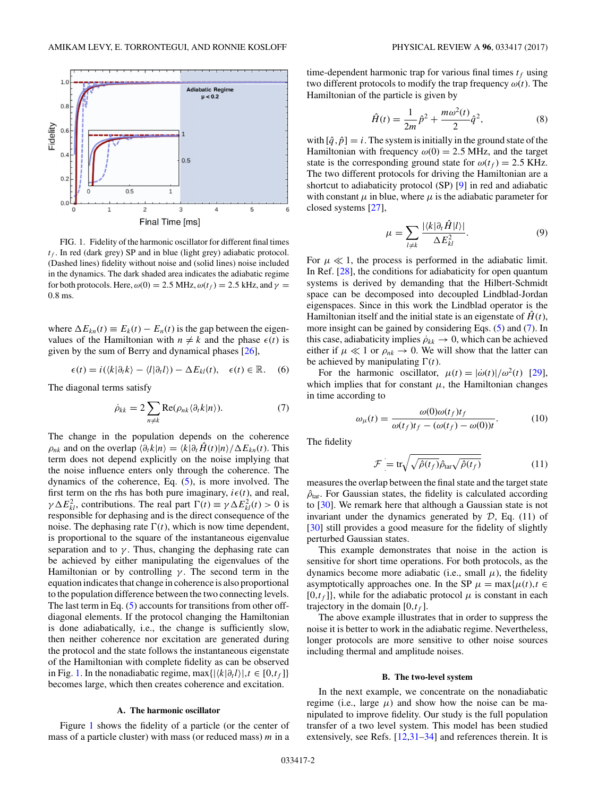<span id="page-1-0"></span>

FIG. 1. Fidelity of the harmonic oscillator for different final times  $t_f$ . In red (dark grey) SP and in blue (light grey) adiabatic protocol. (Dashed lines) fidelity without noise and (solid lines) noise included in the dynamics. The dark shaded area indicates the adiabatic regime for both protocols. Here,  $\omega(0) = 2.5 \text{ MHz}, \omega(t_f) = 2.5 \text{ kHz}, \text{ and } \gamma =$ 0*.*8 ms.

where  $\Delta E_{kn}(t) \equiv E_k(t) - E_n(t)$  is the gap between the eigenvalues of the Hamiltonian with  $n \neq k$  and the phase  $\epsilon(t)$  is given by the sum of Berry and dynamical phases [\[26\]](#page-4-0),

$$
\epsilon(t) = i(\langle k|\partial_t k\rangle - \langle l|\partial_t l\rangle) - \Delta E_{kl}(t), \quad \epsilon(t) \in \mathbb{R}.
$$
 (6)

The diagonal terms satisfy

$$
\dot{\rho}_{kk} = 2 \sum_{n \neq k} \text{Re}(\rho_{nk} \langle \partial_t k | n \rangle). \tag{7}
$$

The change in the population depends on the coherence  $\rho_{nk}$  and on the overlap  $\langle \partial_t k | n \rangle = \langle k | \partial_t H(t) | n \rangle / \Delta E_{kn}(t)$ . This term does not depend explicitly on the noise implying that the noise influence enters only through the coherence. The dynamics of the coherence, Eq. [\(5\)](#page-0-0), is more involved. The first term on the rhs has both pure imaginary,  $i\epsilon(t)$ , and real, *γ*  $\Delta E_{kl}^2$ , contributions. The real part  $\Gamma(t) \equiv \gamma \Delta E_{kl}^2(t) > 0$  is responsible for dephasing and is the direct consequence of the noise. The dephasing rate  $\Gamma(t)$ , which is now time dependent, is proportional to the square of the instantaneous eigenvalue separation and to  $\gamma$ . Thus, changing the dephasing rate can be achieved by either manipulating the eigenvalues of the Hamiltonian or by controlling  $\gamma$ . The second term in the equation indicates that change in coherence is also proportional to the population difference between the two connecting levels. The last term in Eq. [\(5\)](#page-0-0) accounts for transitions from other offdiagonal elements. If the protocol changing the Hamiltonian is done adiabatically, i.e., the change is sufficiently slow, then neither coherence nor excitation are generated during the protocol and the state follows the instantaneous eigenstate of the Hamiltonian with complete fidelity as can be observed in Fig. 1. In the nonadiabatic regime, max $\{|\langle k|\partial_t l\rangle |, t \in [0,t_f]\}\$ becomes large, which then creates coherence and excitation.

#### **A. The harmonic oscillator**

Figure 1 shows the fidelity of a particle (or the center of mass of a particle cluster) with mass (or reduced mass) *m* in a time-dependent harmonic trap for various final times  $t_f$  using two different protocols to modify the trap frequency *ω*(*t*). The Hamiltonian of the particle is given by

$$
\hat{H}(t) = \frac{1}{2m}\hat{p}^2 + \frac{m\omega^2(t)}{2}\hat{q}^2,
$$
 (8)

with  $[\hat{q}, \hat{p}] = i$ . The system is initially in the ground state of the Hamiltonian with frequency  $\omega(0) = 2.5$  MHz, and the target state is the corresponding ground state for  $\omega(t_f) = 2.5$  KHz. The two different protocols for driving the Hamiltonian are a shortcut to adiabaticity protocol (SP) [\[9\]](#page-4-0) in red and adiabatic with constant  $\mu$  in blue, where  $\mu$  is the adiabatic parameter for closed systems [\[27\]](#page-4-0),

$$
\mu = \sum_{l \neq k} \frac{|\langle k | \partial_t \hat{H} | l \rangle|}{\Delta E_{kl}^2}.
$$
\n(9)

For  $\mu \ll 1$ , the process is performed in the adiabatic limit. In Ref. [\[28\]](#page-4-0), the conditions for adiabaticity for open quantum systems is derived by demanding that the Hilbert-Schmidt space can be decomposed into decoupled Lindblad-Jordan eigenspaces. Since in this work the Lindblad operator is the Hamiltonian itself and the initial state is an eigenstate of  $\hat{H}(t)$ , more insight can be gained by considering Eqs. [\(5\)](#page-0-0) and (7). In this case, adiabaticity implies  $\rho_{kk} \to 0$ , which can be achieved either if  $\mu \ll 1$  or  $\rho_{nk} \rightarrow 0$ . We will show that the latter can be achieved by manipulating  $\Gamma(t)$ .

For the harmonic oscillator,  $\mu(t) = |\dot{\omega}(t)|/\omega^2(t)$  [\[29\]](#page-4-0), which implies that for constant  $\mu$ , the Hamiltonian changes in time according to

$$
\omega_{\mu}(t) = \frac{\omega(0)\omega(t_f)t_f}{\omega(t_f)t_f - (\omega(t_f) - \omega(0))t}.
$$
 (10)

The fidelity

$$
\mathcal{F} = \text{tr}\sqrt{\sqrt{\hat{\rho}(t_f)}\hat{\rho}_{\text{tar}}\sqrt{\hat{\rho}(t_f)}}
$$
(11)

measures the overlap between the final state and the target state  $\hat{\rho}_{\text{tar}}$ . For Gaussian states, the fidelity is calculated according to [\[30\]](#page-4-0). We remark here that although a Gaussian state is not invariant under the dynamics generated by  $D$ , Eq. (11) of [\[30\]](#page-4-0) still provides a good measure for the fidelity of slightly perturbed Gaussian states.

This example demonstrates that noise in the action is sensitive for short time operations. For both protocols, as the dynamics become more adiabatic (i.e., small  $\mu$ ), the fidelity asymptotically approaches one. In the SP  $\mu = \max{\{\mu(t), t \in \mathbb{R}\}}$  $[0,t_f]$ , while for the adiabatic protocol  $\mu$  is constant in each trajectory in the domain  $[0, t_f]$ .

The above example illustrates that in order to suppress the noise it is better to work in the adiabatic regime. Nevertheless, longer protocols are more sensitive to other noise sources including thermal and amplitude noises.

## **B. The two-level system**

In the next example, we concentrate on the nonadiabatic regime (i.e., large  $\mu$ ) and show how the noise can be manipulated to improve fidelity. Our study is the full population transfer of a two level system. This model has been studied extensively, see Refs. [\[12,31–34\]](#page-4-0) and references therein. It is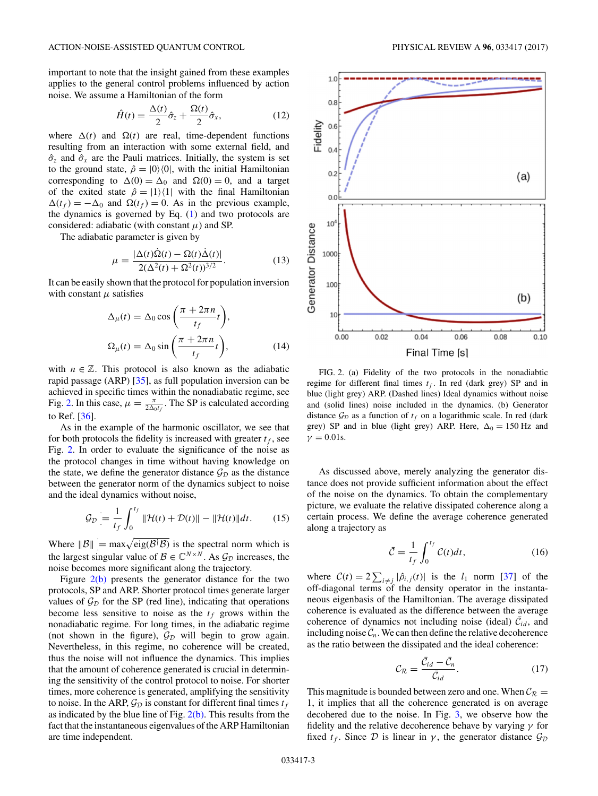<span id="page-2-0"></span>important to note that the insight gained from these examples applies to the general control problems influenced by action noise. We assume a Hamiltonian of the form

$$
\hat{H}(t) = \frac{\Delta(t)}{2}\hat{\sigma}_z + \frac{\Omega(t)}{2}\hat{\sigma}_x,\tag{12}
$$

where  $\Delta(t)$  and  $\Omega(t)$  are real, time-dependent functions resulting from an interaction with some external field, and  $\hat{\sigma}_z$  and  $\hat{\sigma}_x$  are the Pauli matrices. Initially, the system is set to the ground state,  $\hat{\rho} = |0\rangle\langle 0|$ , with the initial Hamiltonian corresponding to  $\Delta(0) = \Delta_0$  and  $\Omega(0) = 0$ , and a target of the exited state  $\hat{\rho} = |1\rangle\langle 1|$  with the final Hamiltonian  $\Delta(t_f) = -\Delta_0$  and  $\Omega(t_f) = 0$ . As in the previous example, the dynamics is governed by Eq. [\(1\)](#page-0-0) and two protocols are considered: adiabatic (with constant  $\mu$ ) and SP.

The adiabatic parameter is given by

$$
\mu = \frac{|\Delta(t)\dot{\Omega}(t) - \Omega(t)\dot{\Delta}(t)|}{2(\Delta^2(t) + \Omega^2(t))^{3/2}}.
$$
\n(13)

It can be easily shown that the protocol for population inversion with constant  $\mu$  satisfies

$$
\Delta_{\mu}(t) = \Delta_0 \cos\left(\frac{\pi + 2\pi n}{t_f}t\right),
$$
  

$$
\Omega_{\mu}(t) = \Delta_0 \sin\left(\frac{\pi + 2\pi n}{t_f}t\right),
$$
 (14)

with  $n \in \mathbb{Z}$ . This protocol is also known as the adiabatic rapid passage (ARP) [\[35\]](#page-4-0), as full population inversion can be achieved in specific times within the nonadiabatic regime, see Fig. 2. In this case,  $\mu = \frac{\pi}{2\Delta_0 t_f}$ . The SP is calculated according to Ref. [\[36\]](#page-4-0).

As in the example of the harmonic oscillator, we see that for both protocols the fidelity is increased with greater  $t_f$ , see Fig. 2. In order to evaluate the significance of the noise as the protocol changes in time without having knowledge on the state, we define the generator distance  $\mathcal{G}_{\mathcal{D}}$  as the distance between the generator norm of the dynamics subject to noise and the ideal dynamics without noise,

$$
\mathcal{G}_{\mathcal{D}} = \frac{1}{t_f} \int_0^{t_f} \|\mathcal{H}(t) + \mathcal{D}(t)\| - \|\mathcal{H}(t)\| dt. \tag{15}
$$

Where  $||\mathcal{B}||$  $=$  max $\sqrt{\text{eig}(\mathcal{B}^{\dagger} \mathcal{B})}$  is the spectral norm which is the largest singular value of  $\mathcal{B} \in \mathbb{C}^{N \times N}$ . As  $\mathcal{G}_{\mathcal{D}}$  increases, the noise becomes more significant along the trajectory.

Figure  $2(b)$  presents the generator distance for the two protocols, SP and ARP. Shorter protocol times generate larger values of  $\mathcal{G}_{\mathcal{D}}$  for the SP (red line), indicating that operations become less sensitive to noise as the  $t_f$  grows within the nonadiabatic regime. For long times, in the adiabatic regime (not shown in the figure),  $\mathcal{G}_{\mathcal{D}}$  will begin to grow again. Nevertheless, in this regime, no coherence will be created, thus the noise will not influence the dynamics. This implies that the amount of coherence generated is crucial in determining the sensitivity of the control protocol to noise. For shorter times, more coherence is generated, amplifying the sensitivity to noise. In the ARP,  $\mathcal{G}_D$  is constant for different final times  $t_f$ as indicated by the blue line of Fig.  $2(b)$ . This results from the fact that the instantaneous eigenvalues of the ARP Hamiltonian are time independent.



FIG. 2. (a) Fidelity of the two protocols in the nonadiabtic regime for different final times  $t_f$ . In red (dark grey) SP and in blue (light grey) ARP. (Dashed lines) Ideal dynamics without noise and (solid lines) noise included in the dynamics. (b) Generator distance  $\mathcal{G}_D$  as a function of  $t_f$  on a logarithmic scale. In red (dark grey) SP and in blue (light grey) ARP. Here,  $\Delta_0 = 150$  Hz and  $\gamma = 0.01$ s.

As discussed above, merely analyzing the generator distance does not provide sufficient information about the effect of the noise on the dynamics. To obtain the complementary picture, we evaluate the relative dissipated coherence along a certain process. We define the average coherence generated along a trajectory as

$$
\bar{\mathcal{C}} = \frac{1}{t_f} \int_0^{t_f} \mathcal{C}(t) dt,\tag{16}
$$

where  $C(t) = 2 \sum_{i \neq j} |\hat{\rho}_{i,j}(t)|$  is the *l*<sub>1</sub> norm [\[37\]](#page-5-0) of the off-diagonal terms of the density operator in the instantaneous eigenbasis of the Hamiltonian. The average dissipated coherence is evaluated as the difference between the average coherence of dynamics not including noise (ideal)  $\bar{\mathcal{C}}_{id}$ , and including noise  $\overline{\mathcal{C}}_n$ . We can then define the relative decoherence as the ratio between the dissipated and the ideal coherence:

$$
\mathcal{C}_{\mathcal{R}} = \frac{\bar{\mathcal{C}}_{id} - \bar{\mathcal{C}}_n}{\bar{\mathcal{C}}_{id}}.\tag{17}
$$

This magnitude is bounded between zero and one. When  $C_{\mathcal{R}} =$ 1, it implies that all the coherence generated is on average decohered due to the noise. In Fig. [3,](#page-3-0) we observe how the fidelity and the relative decoherence behave by varying *γ* for fixed  $t_f$ . Since  $\mathcal D$  is linear in  $\gamma$ , the generator distance  $\mathcal G_{\mathcal D}$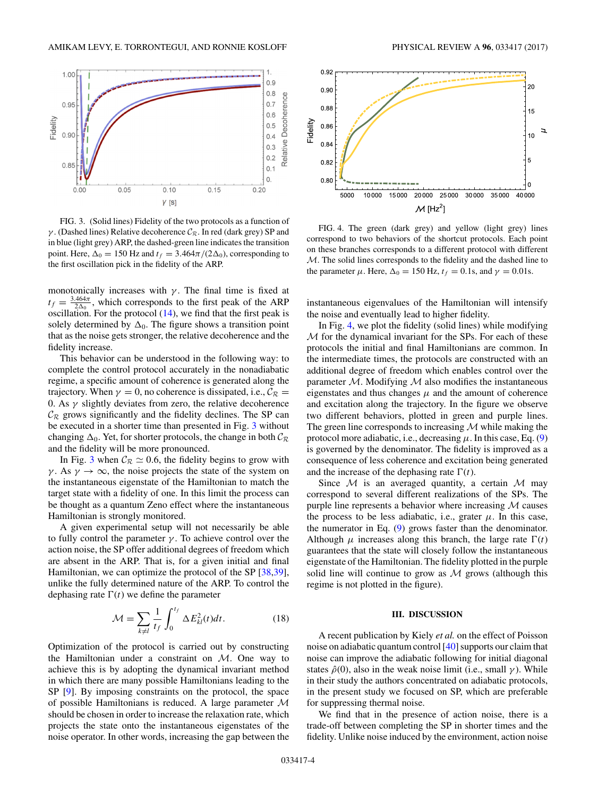<span id="page-3-0"></span>

FIG. 3. (Solid lines) Fidelity of the two protocols as a function of *γ*. (Dashed lines) Relative decoherence  $C_R$ . In red (dark grey) SP and in blue (light grey) ARP, the dashed-green line indicates the transition point. Here,  $\Delta_0 = 150$  Hz and  $t_f = 3.464\pi/(2\Delta_0)$ , corresponding to the first oscillation pick in the fidelity of the ARP.

monotonically increases with  $\gamma$ . The final time is fixed at  $t_f = \frac{3.464\pi}{2\Delta_0}$ , which corresponds to the first peak of the ARP oscillation. For the protocol  $(14)$ , we find that the first peak is solely determined by  $\Delta_0$ . The figure shows a transition point that as the noise gets stronger, the relative decoherence and the fidelity increase.

This behavior can be understood in the following way: to complete the control protocol accurately in the nonadiabatic regime, a specific amount of coherence is generated along the trajectory. When  $\gamma = 0$ , no coherence is dissipated, i.e.,  $C_{\mathcal{R}} =$ 0. As  $\gamma$  slightly deviates from zero, the relative decoherence  $\mathcal{C}_{\mathcal{R}}$  grows significantly and the fidelity declines. The SP can be executed in a shorter time than presented in Fig. 3 without changing  $\Delta_0$ . Yet, for shorter protocols, the change in both  $\mathcal{C}_{\mathcal{R}}$ and the fidelity will be more pronounced.

In Fig. 3 when  $C_R \simeq 0.6$ , the fidelity begins to grow with *γ*. As  $\gamma \to \infty$ , the noise projects the state of the system on the instantaneous eigenstate of the Hamiltonian to match the target state with a fidelity of one. In this limit the process can be thought as a quantum Zeno effect where the instantaneous Hamiltonian is strongly monitored.

A given experimental setup will not necessarily be able to fully control the parameter  $\gamma$ . To achieve control over the action noise, the SP offer additional degrees of freedom which are absent in the ARP. That is, for a given initial and final Hamiltonian, we can optimize the protocol of the SP [\[38,39\]](#page-5-0), unlike the fully determined nature of the ARP. To control the dephasing rate  $\Gamma(t)$  we define the parameter

$$
\mathcal{M} = \sum_{k \neq l} \frac{1}{t_f} \int_0^{t_f} \Delta E_{kl}^2(t) dt.
$$
 (18)

Optimization of the protocol is carried out by constructing the Hamiltonian under a constraint on  $M$ . One way to achieve this is by adopting the dynamical invariant method in which there are many possible Hamiltonians leading to the SP [\[9\]](#page-4-0). By imposing constraints on the protocol, the space of possible Hamiltonians is reduced. A large parameter  $M$ should be chosen in order to increase the relaxation rate, which projects the state onto the instantaneous eigenstates of the noise operator. In other words, increasing the gap between the



FIG. 4. The green (dark grey) and yellow (light grey) lines correspond to two behaviors of the shortcut protocols. Each point on these branches corresponds to a different protocol with different M. The solid lines corresponds to the fidelity and the dashed line to the parameter  $\mu$ . Here,  $\Delta_0 = 150$  Hz,  $t_f = 0.1$ s, and  $\gamma = 0.01$ s.

instantaneous eigenvalues of the Hamiltonian will intensify the noise and eventually lead to higher fidelity.

In Fig. 4, we plot the fidelity (solid lines) while modifying M for the dynamical invariant for the SPs. For each of these protocols the initial and final Hamiltonians are common. In the intermediate times, the protocols are constructed with an additional degree of freedom which enables control over the parameter  $M$ . Modifying  $M$  also modifies the instantaneous eigenstates and thus changes  $\mu$  and the amount of coherence and excitation along the trajectory. In the figure we observe two different behaviors, plotted in green and purple lines. The green line corresponds to increasing  $M$  while making the protocol more adiabatic, i.e., decreasing  $\mu$ . In this case, Eq. [\(9\)](#page-1-0) is governed by the denominator. The fidelity is improved as a consequence of less coherence and excitation being generated and the increase of the dephasing rate  $\Gamma(t)$ .

Since  $M$  is an averaged quantity, a certain  $M$  may correspond to several different realizations of the SPs. The purple line represents a behavior where increasing  $M$  causes the process to be less adiabatic, i.e., grater  $\mu$ . In this case, the numerator in Eq. [\(9\)](#page-1-0) grows faster than the denominator. Although  $\mu$  increases along this branch, the large rate  $\Gamma(t)$ guarantees that the state will closely follow the instantaneous eigenstate of the Hamiltonian. The fidelity plotted in the purple solid line will continue to grow as  $M$  grows (although this regime is not plotted in the figure).

### **III. DISCUSSION**

A recent publication by Kiely *et al.* on the effect of Poisson noise on adiabatic quantum control [\[40\]](#page-5-0) supports our claim that noise can improve the adiabatic following for initial diagonal states  $\hat{\rho}(0)$ , also in the weak noise limit (i.e., small  $\gamma$ ). While in their study the authors concentrated on adiabatic protocols, in the present study we focused on SP, which are preferable for suppressing thermal noise.

We find that in the presence of action noise, there is a trade-off between completing the SP in shorter times and the fidelity. Unlike noise induced by the environment, action noise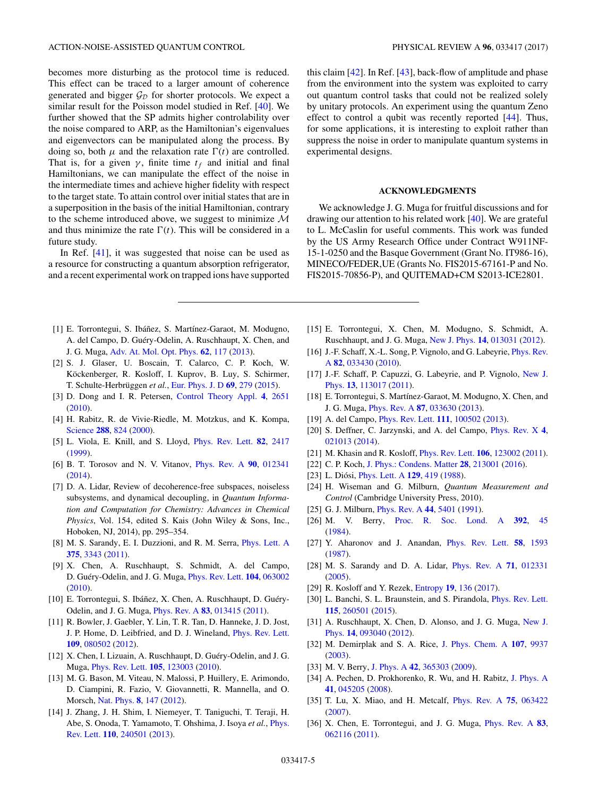<span id="page-4-0"></span>becomes more disturbing as the protocol time is reduced. This effect can be traced to a larger amount of coherence generated and bigger  $\mathcal{G}_D$  for shorter protocols. We expect a similar result for the Poisson model studied in Ref. [\[40\]](#page-5-0). We further showed that the SP admits higher controlability over the noise compared to ARP, as the Hamiltonian's eigenvalues and eigenvectors can be manipulated along the process. By doing so, both  $\mu$  and the relaxation rate  $\Gamma(t)$  are controlled. That is, for a given  $\gamma$ , finite time  $t_f$  and initial and final Hamiltonians, we can manipulate the effect of the noise in the intermediate times and achieve higher fidelity with respect to the target state. To attain control over initial states that are in a superposition in the basis of the initial Hamiltonian, contrary to the scheme introduced above, we suggest to minimize  $M$ and thus minimize the rate  $\Gamma(t)$ . This will be considered in a future study.

In Ref. [\[41\]](#page-5-0), it was suggested that noise can be used as a resource for constructing a quantum absorption refrigerator, and a recent experimental work on trapped ions have supported

- [1] E. Torrontegui, S. Ibáñez, S. Martínez-Garaot, M. Modugno, A. del Campo, D. Guéry-Odelin, A. Ruschhaupt, X. Chen, and J. G. Muga, [Adv. At. Mol. Opt. Phys.](https://doi.org/10.1016/B978-0-12-408090-4.00002-5) **[62](https://doi.org/10.1016/B978-0-12-408090-4.00002-5)**, [117](https://doi.org/10.1016/B978-0-12-408090-4.00002-5) [\(2013\)](https://doi.org/10.1016/B978-0-12-408090-4.00002-5).
- [2] S. J. Glaser, U. Boscain, T. Calarco, C. P. Koch, W. Köckenberger, R. Kosloff, I. Kuprov, B. Luy, S. Schirmer, T. Schulte-Herbrüggen *et al.*, [Eur. Phys. J. D](https://doi.org/10.1140/epjd/e2015-60464-1) **[69](https://doi.org/10.1140/epjd/e2015-60464-1)**, [279](https://doi.org/10.1140/epjd/e2015-60464-1) [\(2015\)](https://doi.org/10.1140/epjd/e2015-60464-1).
- [3] D. Dong and I. R. Petersen, [Control Theory Appl.](https://doi.org/10.1049/iet-cta.2009.0508) **[4](https://doi.org/10.1049/iet-cta.2009.0508)**, [2651](https://doi.org/10.1049/iet-cta.2009.0508) [\(2010\)](https://doi.org/10.1049/iet-cta.2009.0508).
- [4] H. Rabitz, R. de Vivie-Riedle, M. Motzkus, and K. Kompa, [Science](https://doi.org/10.1126/science.288.5467.824) **[288](https://doi.org/10.1126/science.288.5467.824)**, [824](https://doi.org/10.1126/science.288.5467.824) [\(2000\)](https://doi.org/10.1126/science.288.5467.824).
- [5] L. Viola, E. Knill, and S. Lloyd, [Phys. Rev. Lett.](https://doi.org/10.1103/PhysRevLett.82.2417) **[82](https://doi.org/10.1103/PhysRevLett.82.2417)**, [2417](https://doi.org/10.1103/PhysRevLett.82.2417) [\(1999\)](https://doi.org/10.1103/PhysRevLett.82.2417).
- [6] B. T. Torosov and N. V. Vitanov, [Phys. Rev. A](https://doi.org/10.1103/PhysRevA.90.012341) **[90](https://doi.org/10.1103/PhysRevA.90.012341)**, [012341](https://doi.org/10.1103/PhysRevA.90.012341)  $(2014)$ .
- [7] D. A. Lidar, Review of decoherence-free subspaces, noiseless subsystems, and dynamical decoupling, in *Quantum Information and Computation for Chemistry: Advances in Chemical Physics*, Vol. 154, edited S. Kais (John Wiley & Sons, Inc., Hoboken, NJ, 2014), pp. 295–354.
- [8] M. S. Sarandy, E. I. Duzzioni, and R. M. Serra, [Phys. Lett. A](https://doi.org/10.1016/j.physleta.2011.07.041) **[375](https://doi.org/10.1016/j.physleta.2011.07.041)**, [3343](https://doi.org/10.1016/j.physleta.2011.07.041) [\(2011\)](https://doi.org/10.1016/j.physleta.2011.07.041).
- [9] X. Chen, A. Ruschhaupt, S. Schmidt, A. del Campo, D. Guéry-Odelin, and J. G. Muga, [Phys. Rev. Lett.](https://doi.org/10.1103/PhysRevLett.104.063002) **[104](https://doi.org/10.1103/PhysRevLett.104.063002)**, [063002](https://doi.org/10.1103/PhysRevLett.104.063002) [\(2010\)](https://doi.org/10.1103/PhysRevLett.104.063002).
- [10] E. Torrontegui, S. Ibáñez, X. Chen, A. Ruschhaupt, D. Guéry-Odelin, and J. G. Muga, [Phys. Rev. A](https://doi.org/10.1103/PhysRevA.83.013415) **[83](https://doi.org/10.1103/PhysRevA.83.013415)**, [013415](https://doi.org/10.1103/PhysRevA.83.013415) [\(2011\)](https://doi.org/10.1103/PhysRevA.83.013415).
- [11] R. Bowler, J. Gaebler, Y. Lin, T. R. Tan, D. Hanneke, J. D. Jost, J. P. Home, D. Leibfried, and D. J. Wineland, [Phys. Rev. Lett.](https://doi.org/10.1103/PhysRevLett.109.080502) **[109](https://doi.org/10.1103/PhysRevLett.109.080502)**, [080502](https://doi.org/10.1103/PhysRevLett.109.080502) [\(2012\)](https://doi.org/10.1103/PhysRevLett.109.080502).
- [12] X. Chen, I. Lizuain, A. Ruschhaupt, D. Guéry-Odelin, and J. G. Muga, [Phys. Rev. Lett.](https://doi.org/10.1103/PhysRevLett.105.123003) **[105](https://doi.org/10.1103/PhysRevLett.105.123003)**, [123003](https://doi.org/10.1103/PhysRevLett.105.123003) [\(2010\)](https://doi.org/10.1103/PhysRevLett.105.123003).
- [13] M. G. Bason, M. Viteau, N. Malossi, P. Huillery, E. Arimondo, D. Ciampini, R. Fazio, V. Giovannetti, R. Mannella, and O. Morsch, [Nat. Phys.](https://doi.org/10.1038/nphys2170) **[8](https://doi.org/10.1038/nphys2170)**, [147](https://doi.org/10.1038/nphys2170) [\(2012\)](https://doi.org/10.1038/nphys2170).
- [14] J. Zhang, J. H. Shim, I. Niemeyer, T. Taniguchi, T. Teraji, H. [Abe, S. Onoda, T. Yamamoto, T. Ohshima, J. Isoya](https://doi.org/10.1103/PhysRevLett.110.240501) *et al.*, Phys. Rev. Lett. **[110](https://doi.org/10.1103/PhysRevLett.110.240501)**, [240501](https://doi.org/10.1103/PhysRevLett.110.240501) [\(2013\)](https://doi.org/10.1103/PhysRevLett.110.240501).

this claim [\[42\]](#page-5-0). In Ref. [\[43\]](#page-5-0), back-flow of amplitude and phase from the environment into the system was exploited to carry out quantum control tasks that could not be realized solely by unitary protocols. An experiment using the quantum Zeno effect to control a qubit was recently reported [\[44\]](#page-5-0). Thus, for some applications, it is interesting to exploit rather than suppress the noise in order to manipulate quantum systems in experimental designs.

# **ACKNOWLEDGMENTS**

We acknowledge J. G. Muga for fruitful discussions and for drawing our attention to his related work [\[40\]](#page-5-0). We are grateful to L. McCaslin for useful comments. This work was funded by the US Army Research Office under Contract W911NF-15-1-0250 and the Basque Government (Grant No. IT986-16), MINECO/FEDER,UE (Grants No. FIS2015-67161-P and No. FIS2015-70856-P), and QUITEMAD+CM S2013-ICE2801.

- [15] E. Torrontegui, X. Chen, M. Modugno, S. Schmidt, A. Ruschhaupt, and J. G. Muga, [New J. Phys.](https://doi.org/10.1088/1367-2630/14/1/013031) **[14](https://doi.org/10.1088/1367-2630/14/1/013031)**, [013031](https://doi.org/10.1088/1367-2630/14/1/013031) [\(2012\)](https://doi.org/10.1088/1367-2630/14/1/013031).
- [16] [J.-F. Schaff, X.-L. Song, P. Vignolo, and G. Labeyrie,](https://doi.org/10.1103/PhysRevA.82.033430) *Phys. Rev.* A **[82](https://doi.org/10.1103/PhysRevA.82.033430)**, [033430](https://doi.org/10.1103/PhysRevA.82.033430) [\(2010\)](https://doi.org/10.1103/PhysRevA.82.033430).
- [17] [J.-F. Schaff, P. Capuzzi, G. Labeyrie, and P. Vignolo,](https://doi.org/10.1088/1367-2630/13/11/113017) New J. Phys. **[13](https://doi.org/10.1088/1367-2630/13/11/113017)**, [113017](https://doi.org/10.1088/1367-2630/13/11/113017) [\(2011\)](https://doi.org/10.1088/1367-2630/13/11/113017).
- [18] E. Torrontegui, S. Martínez-Garaot, M. Modugno, X. Chen, and J. G. Muga, [Phys. Rev. A](https://doi.org/10.1103/PhysRevA.87.033630) **[87](https://doi.org/10.1103/PhysRevA.87.033630)**, [033630](https://doi.org/10.1103/PhysRevA.87.033630) [\(2013\)](https://doi.org/10.1103/PhysRevA.87.033630).
- [19] A. del Campo, [Phys. Rev. Lett.](https://doi.org/10.1103/PhysRevLett.111.100502) **[111](https://doi.org/10.1103/PhysRevLett.111.100502)**, [100502](https://doi.org/10.1103/PhysRevLett.111.100502) [\(2013\)](https://doi.org/10.1103/PhysRevLett.111.100502).
- [20] S. Deffner, C. Jarzynski, and A. del Campo, [Phys. Rev. X](https://doi.org/10.1103/PhysRevX.4.021013) **[4](https://doi.org/10.1103/PhysRevX.4.021013)**, [021013](https://doi.org/10.1103/PhysRevX.4.021013) [\(2014\)](https://doi.org/10.1103/PhysRevX.4.021013).
- [21] M. Khasin and R. Kosloff, [Phys. Rev. Lett.](https://doi.org/10.1103/PhysRevLett.106.123002) **[106](https://doi.org/10.1103/PhysRevLett.106.123002)**, [123002](https://doi.org/10.1103/PhysRevLett.106.123002) [\(2011\)](https://doi.org/10.1103/PhysRevLett.106.123002).
- [22] C. P. Koch, [J. Phys.: Condens. Matter](https://doi.org/10.1088/0953-8984/28/21/213001) **[28](https://doi.org/10.1088/0953-8984/28/21/213001)**, [213001](https://doi.org/10.1088/0953-8984/28/21/213001) [\(2016\)](https://doi.org/10.1088/0953-8984/28/21/213001).
- [23] L. Diósi, [Phys. Lett. A](https://doi.org/10.1016/0375-9601(88)90309-X) **[129](https://doi.org/10.1016/0375-9601(88)90309-X)**, [419](https://doi.org/10.1016/0375-9601(88)90309-X) [\(1988\)](https://doi.org/10.1016/0375-9601(88)90309-X).
- [24] H. Wiseman and G. Milburn, *Quantum Measurement and Control* (Cambridge University Press, 2010).
- [25] G. J. Milburn, [Phys. Rev. A](https://doi.org/10.1103/PhysRevA.44.5401) **[44](https://doi.org/10.1103/PhysRevA.44.5401)**, [5401](https://doi.org/10.1103/PhysRevA.44.5401) [\(1991\)](https://doi.org/10.1103/PhysRevA.44.5401).
- [26] M. V. Berry, [Proc. R. Soc. Lond. A](https://doi.org/10.1098/rspa.1984.0023) **[392](https://doi.org/10.1098/rspa.1984.0023)**, [45](https://doi.org/10.1098/rspa.1984.0023) [\(1984\)](https://doi.org/10.1098/rspa.1984.0023).
- [27] Y. Aharonov and J. Anandan, [Phys. Rev. Lett.](https://doi.org/10.1103/PhysRevLett.58.1593) **[58](https://doi.org/10.1103/PhysRevLett.58.1593)**, [1593](https://doi.org/10.1103/PhysRevLett.58.1593) [\(1987\)](https://doi.org/10.1103/PhysRevLett.58.1593).
- [28] M. S. Sarandy and D. A. Lidar, [Phys. Rev. A](https://doi.org/10.1103/PhysRevA.71.012331) **[71](https://doi.org/10.1103/PhysRevA.71.012331)**, [012331](https://doi.org/10.1103/PhysRevA.71.012331) [\(2005\)](https://doi.org/10.1103/PhysRevA.71.012331).
- [29] R. Kosloff and Y. Rezek, [Entropy](https://doi.org/10.3390/e19040136) **[19](https://doi.org/10.3390/e19040136)**, [136](https://doi.org/10.3390/e19040136) [\(2017\)](https://doi.org/10.3390/e19040136).
- [30] L. Banchi, S. L. Braunstein, and S. Pirandola, [Phys. Rev. Lett.](https://doi.org/10.1103/PhysRevLett.115.260501) **[115](https://doi.org/10.1103/PhysRevLett.115.260501)**, [260501](https://doi.org/10.1103/PhysRevLett.115.260501) [\(2015\)](https://doi.org/10.1103/PhysRevLett.115.260501).
- [31] [A. Ruschhaupt, X. Chen, D. Alonso, and J. G. Muga,](https://doi.org/10.1088/1367-2630/14/9/093040) New J. Phys. **[14](https://doi.org/10.1088/1367-2630/14/9/093040)**, [093040](https://doi.org/10.1088/1367-2630/14/9/093040) [\(2012\)](https://doi.org/10.1088/1367-2630/14/9/093040).
- [32] M. Demirplak and S. A. Rice, [J. Phys. Chem. A](https://doi.org/10.1021/jp030708a) **[107](https://doi.org/10.1021/jp030708a)**, [9937](https://doi.org/10.1021/jp030708a) [\(2003\)](https://doi.org/10.1021/jp030708a).
- [33] M. V. Berry, [J. Phys. A](https://doi.org/10.1088/1751-8113/42/36/365303) **[42](https://doi.org/10.1088/1751-8113/42/36/365303)**, [365303](https://doi.org/10.1088/1751-8113/42/36/365303) [\(2009\)](https://doi.org/10.1088/1751-8113/42/36/365303).
- [34] A. Pechen, D. Prokhorenko, R. Wu, and H. Rabitz, [J. Phys. A](https://doi.org/10.1088/1751-8113/41/4/045205) **[41](https://doi.org/10.1088/1751-8113/41/4/045205)**, [045205](https://doi.org/10.1088/1751-8113/41/4/045205) [\(2008\)](https://doi.org/10.1088/1751-8113/41/4/045205).
- [35] T. Lu, X. Miao, and H. Metcalf, [Phys. Rev. A](https://doi.org/10.1103/PhysRevA.75.063422) **[75](https://doi.org/10.1103/PhysRevA.75.063422)**, [063422](https://doi.org/10.1103/PhysRevA.75.063422) [\(2007\)](https://doi.org/10.1103/PhysRevA.75.063422).
- [36] X. Chen, E. Torrontegui, and J. G. Muga, [Phys. Rev. A](https://doi.org/10.1103/PhysRevA.83.062116) **[83](https://doi.org/10.1103/PhysRevA.83.062116)**, [062116](https://doi.org/10.1103/PhysRevA.83.062116) [\(2011\)](https://doi.org/10.1103/PhysRevA.83.062116).